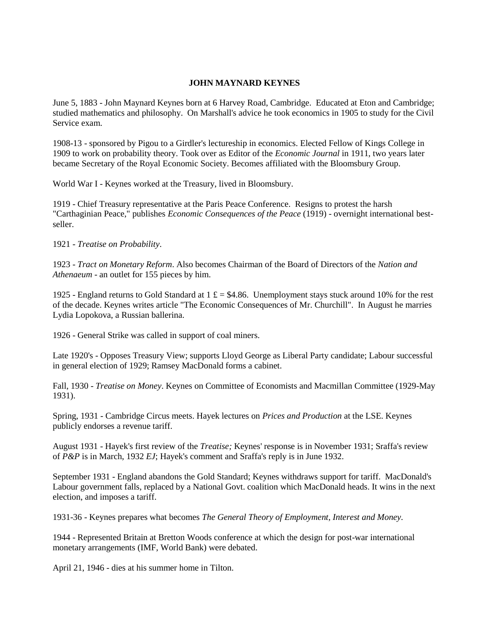## **JOHN MAYNARD KEYNES**

June 5, 1883 - John Maynard Keynes born at 6 Harvey Road, Cambridge. Educated at Eton and Cambridge; studied mathematics and philosophy. On Marshall's advice he took economics in 1905 to study for the Civil Service exam.

1908-13 - sponsored by Pigou to a Girdler's lectureship in economics. Elected Fellow of Kings College in 1909 to work on probability theory. Took over as Editor of the *Economic Journal* in 1911, two years later became Secretary of the Royal Economic Society. Becomes affiliated with the Bloomsbury Group.

World War I - Keynes worked at the Treasury, lived in Bloomsbury.

1919 - Chief Treasury representative at the Paris Peace Conference. Resigns to protest the harsh "Carthaginian Peace," publishes *Economic Consequences of the Peace* (1919) - overnight international bestseller.

1921 - *Treatise on Probability*.

1923 - *Tract on Monetary Reform*. Also becomes Chairman of the Board of Directors of the *Nation and Athenaeum* - an outlet for 155 pieces by him.

1925 - England returns to Gold Standard at 1  $\text{\pounds} = $4.86$ . Unemployment stays stuck around 10% for the rest of the decade. Keynes writes article "The Economic Consequences of Mr. Churchill". In August he marries Lydia Lopokova, a Russian ballerina.

1926 - General Strike was called in support of coal miners.

Late 1920's - Opposes Treasury View; supports Lloyd George as Liberal Party candidate; Labour successful in general election of 1929; Ramsey MacDonald forms a cabinet.

Fall, 1930 - *Treatise on Money*. Keynes on Committee of Economists and Macmillan Committee (1929-May 1931).

Spring, 1931 - Cambridge Circus meets. Hayek lectures on *Prices and Production* at the LSE. Keynes publicly endorses a revenue tariff.

August 1931 - Hayek's first review of the *Treatise;* Keynes' response is in November 1931; Sraffa's review of *P&P* is in March, 1932 *EJ*; Hayek's comment and Sraffa's reply is in June 1932.

September 1931 - England abandons the Gold Standard; Keynes withdraws support for tariff. MacDonald's Labour government falls, replaced by a National Govt. coalition which MacDonald heads. It wins in the next election, and imposes a tariff.

1931-36 - Keynes prepares what becomes *The General Theory of Employment, Interest and Money.* 

1944 - Represented Britain at Bretton Woods conference at which the design for post-war international monetary arrangements (IMF, World Bank) were debated.

April 21, 1946 - dies at his summer home in Tilton.